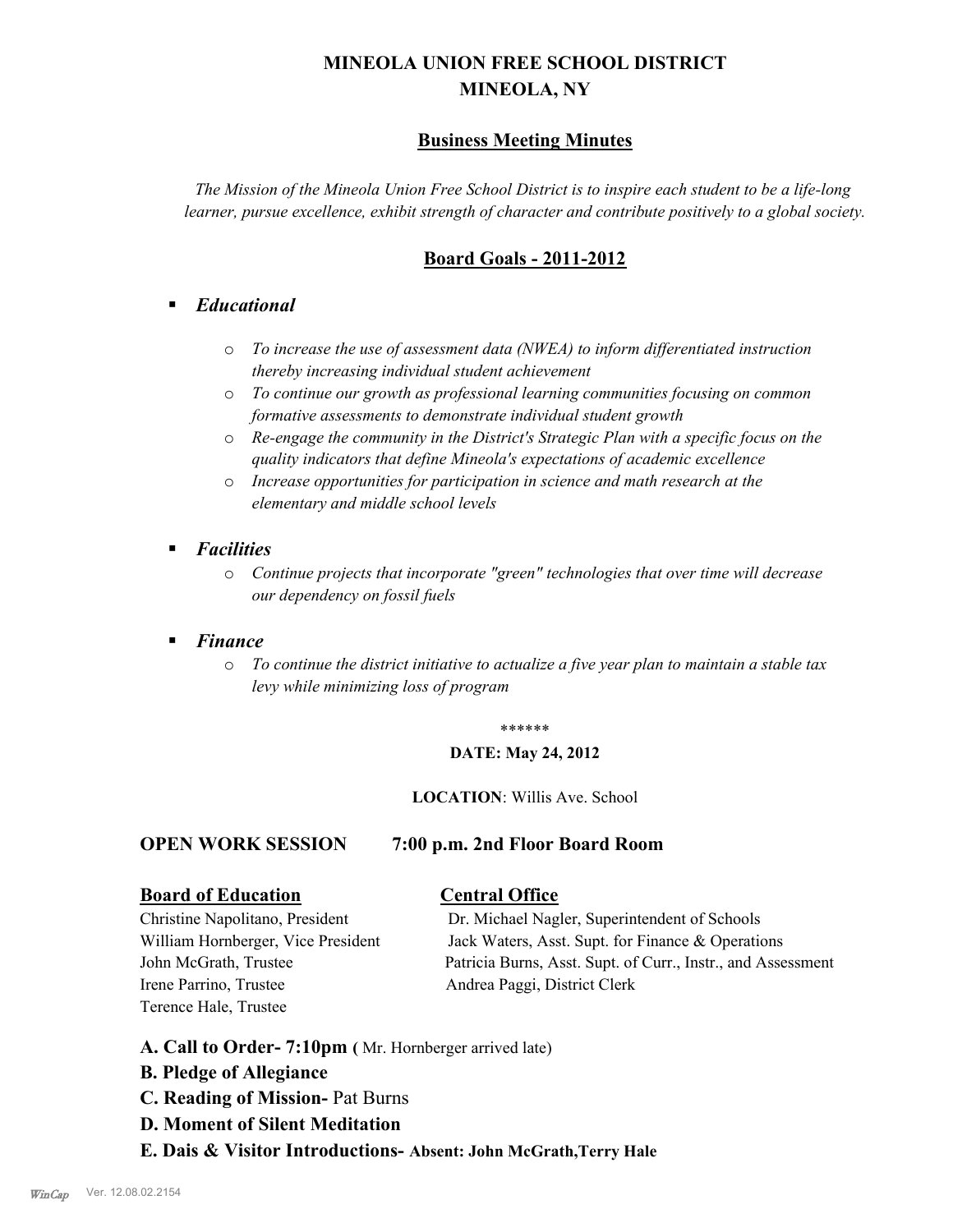# **MINEOLA UNION FREE SCHOOL DISTRICT MINEOLA, NY**

# **Business Meeting Minutes**

*The Mission of the Mineola Union Free School District is to inspire each student to be a life-long learner, pursue excellence, exhibit strength of character and contribute positively to a global society.*

# **Board Goals - 2011-2012**

# § *Educational*

- o *To increase the use of assessment data (NWEA) to inform differentiated instruction thereby increasing individual student achievement*
- o *To continue our growth as professional learning communities focusing on common formative assessments to demonstrate individual student growth*
- o *Re-engage the community in the District's Strategic Plan with a specific focus on the quality indicators that define Mineola's expectations of academic excellence*
- o *Increase opportunities for participation in science and math research at the elementary and middle school levels*
- *Facilities* 
	- o *Continue projects that incorporate "green" technologies that over time will decrease our dependency on fossil fuels*
- § *Finance*
	- o *To continue the district initiative to actualize a five year plan to maintain a stable tax levy while minimizing loss of program*

#### \*\*\*\*\*\*

#### **DATE: May 24, 2012**

#### **LOCATION**: Willis Ave. School

# **OPEN WORK SESSION 7:00 p.m. 2nd Floor Board Room**

#### **Board of Education Central Office**

Irene Parrino, Trustee Andrea Paggi, District Clerk Terence Hale, Trustee

Christine Napolitano, President Dr. Michael Nagler, Superintendent of Schools William Hornberger, Vice President Jack Waters, Asst. Supt. for Finance & Operations John McGrath, Trustee Patricia Burns, Asst. Supt. of Curr., Instr., and Assessment

- **A. Call to Order- 7:10pm (** Mr. Hornberger arrived late)
- **B. Pledge of Allegiance**
- **C. Reading of Mission-** Pat Burns
- **D. Moment of Silent Meditation**
- **E. Dais & Visitor Introductions- Absent: John McGrath,Terry Hale**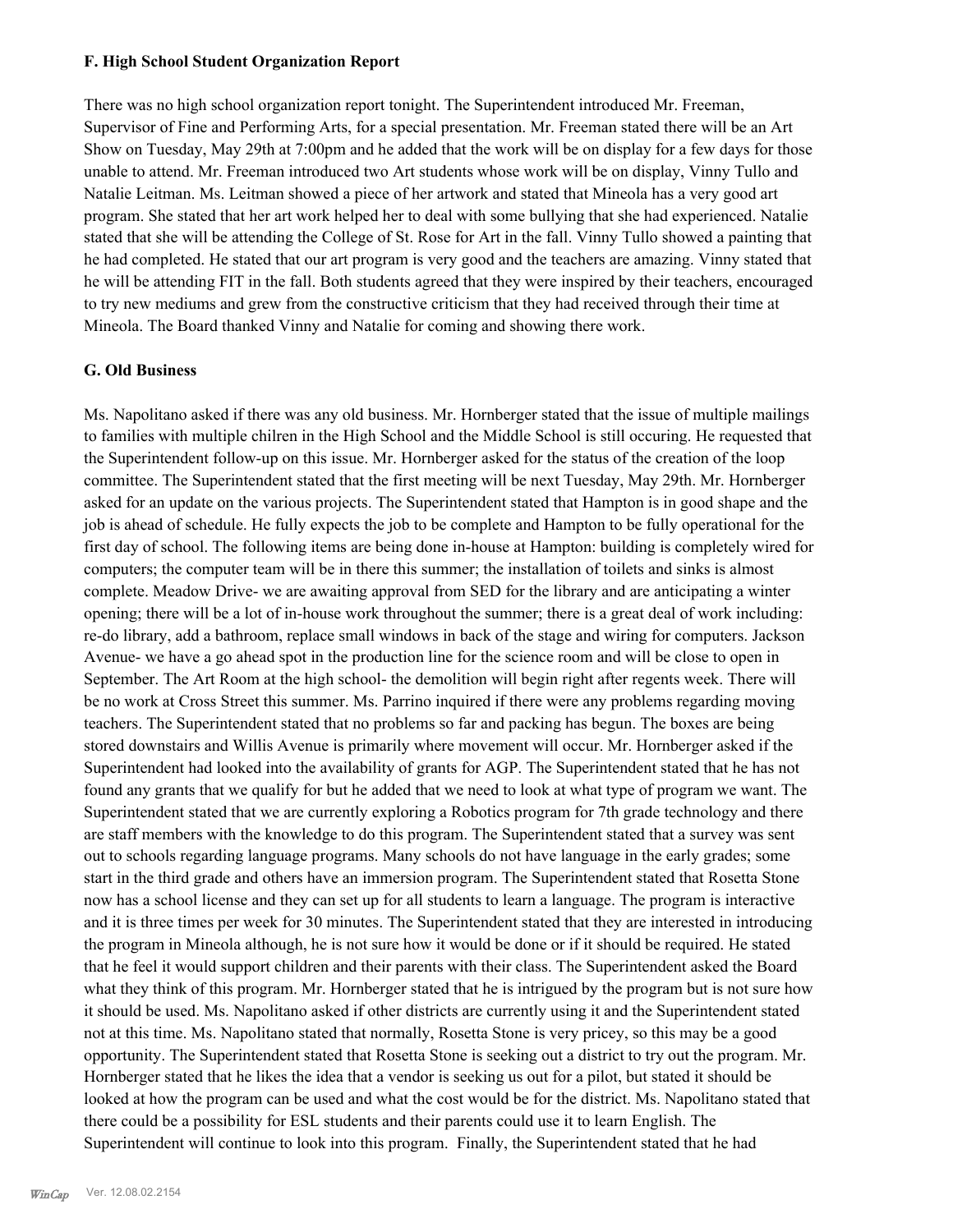#### **F. High School Student Organization Report**

There was no high school organization report tonight. The Superintendent introduced Mr. Freeman, Supervisor of Fine and Performing Arts, for a special presentation. Mr. Freeman stated there will be an Art Show on Tuesday, May 29th at 7:00pm and he added that the work will be on display for a few days for those unable to attend. Mr. Freeman introduced two Art students whose work will be on display, Vinny Tullo and Natalie Leitman. Ms. Leitman showed a piece of her artwork and stated that Mineola has a very good art program. She stated that her art work helped her to deal with some bullying that she had experienced. Natalie stated that she will be attending the College of St. Rose for Art in the fall. Vinny Tullo showed a painting that he had completed. He stated that our art program is very good and the teachers are amazing. Vinny stated that he will be attending FIT in the fall. Both students agreed that they were inspired by their teachers, encouraged to try new mediums and grew from the constructive criticism that they had received through their time at Mineola. The Board thanked Vinny and Natalie for coming and showing there work.

#### **G. Old Business**

Ms. Napolitano asked if there was any old business. Mr. Hornberger stated that the issue of multiple mailings to families with multiple chilren in the High School and the Middle School is still occuring. He requested that the Superintendent follow-up on this issue. Mr. Hornberger asked for the status of the creation of the loop committee. The Superintendent stated that the first meeting will be next Tuesday, May 29th. Mr. Hornberger asked for an update on the various projects. The Superintendent stated that Hampton is in good shape and the job is ahead of schedule. He fully expects the job to be complete and Hampton to be fully operational for the first day of school. The following items are being done in-house at Hampton: building is completely wired for computers; the computer team will be in there this summer; the installation of toilets and sinks is almost complete. Meadow Drive- we are awaiting approval from SED for the library and are anticipating a winter opening; there will be a lot of in-house work throughout the summer; there is a great deal of work including: re-do library, add a bathroom, replace small windows in back of the stage and wiring for computers. Jackson Avenue- we have a go ahead spot in the production line for the science room and will be close to open in September. The Art Room at the high school- the demolition will begin right after regents week. There will be no work at Cross Street this summer. Ms. Parrino inquired if there were any problems regarding moving teachers. The Superintendent stated that no problems so far and packing has begun. The boxes are being stored downstairs and Willis Avenue is primarily where movement will occur. Mr. Hornberger asked if the Superintendent had looked into the availability of grants for AGP. The Superintendent stated that he has not found any grants that we qualify for but he added that we need to look at what type of program we want. The Superintendent stated that we are currently exploring a Robotics program for 7th grade technology and there are staff members with the knowledge to do this program. The Superintendent stated that a survey was sent out to schools regarding language programs. Many schools do not have language in the early grades; some start in the third grade and others have an immersion program. The Superintendent stated that Rosetta Stone now has a school license and they can set up for all students to learn a language. The program is interactive and it is three times per week for 30 minutes. The Superintendent stated that they are interested in introducing the program in Mineola although, he is not sure how it would be done or if it should be required. He stated that he feel it would support children and their parents with their class. The Superintendent asked the Board what they think of this program. Mr. Hornberger stated that he is intrigued by the program but is not sure how it should be used. Ms. Napolitano asked if other districts are currently using it and the Superintendent stated not at this time. Ms. Napolitano stated that normally, Rosetta Stone is very pricey, so this may be a good opportunity. The Superintendent stated that Rosetta Stone is seeking out a district to try out the program. Mr. Hornberger stated that he likes the idea that a vendor is seeking us out for a pilot, but stated it should be looked at how the program can be used and what the cost would be for the district. Ms. Napolitano stated that there could be a possibility for ESL students and their parents could use it to learn English. The Superintendent will continue to look into this program. Finally, the Superintendent stated that he had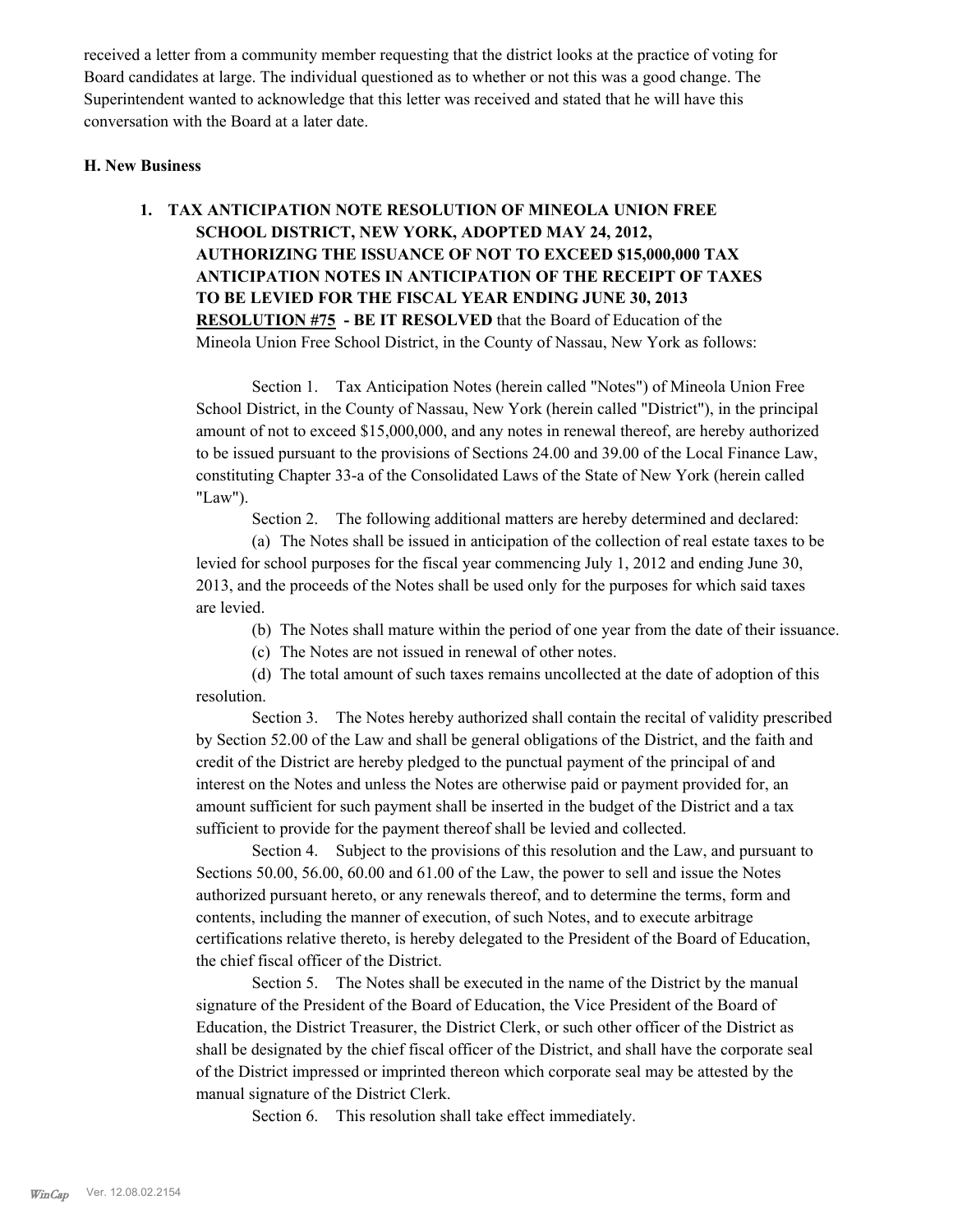received a letter from a community member requesting that the district looks at the practice of voting for Board candidates at large. The individual questioned as to whether or not this was a good change. The Superintendent wanted to acknowledge that this letter was received and stated that he will have this conversation with the Board at a later date.

#### **H. New Business**

# **1. TAX ANTICIPATION NOTE RESOLUTION OF MINEOLA UNION FREE SCHOOL DISTRICT, NEW YORK, ADOPTED MAY 24, 2012, AUTHORIZING THE ISSUANCE OF NOT TO EXCEED \$15,000,000 TAX ANTICIPATION NOTES IN ANTICIPATION OF THE RECEIPT OF TAXES TO BE LEVIED FOR THE FISCAL YEAR ENDING JUNE 30, 2013 RESOLUTION #75 - BE IT RESOLVED** that the Board of Education of the Mineola Union Free School District, in the County of Nassau, New York as follows:

Section 1. Tax Anticipation Notes (herein called "Notes") of Mineola Union Free School District, in the County of Nassau, New York (herein called "District"), in the principal amount of not to exceed \$15,000,000, and any notes in renewal thereof, are hereby authorized to be issued pursuant to the provisions of Sections 24.00 and 39.00 of the Local Finance Law, constituting Chapter 33-a of the Consolidated Laws of the State of New York (herein called "Law").

Section 2. The following additional matters are hereby determined and declared:

(a) The Notes shall be issued in anticipation of the collection of real estate taxes to be levied for school purposes for the fiscal year commencing July 1, 2012 and ending June 30, 2013, and the proceeds of the Notes shall be used only for the purposes for which said taxes are levied.

(b) The Notes shall mature within the period of one year from the date of their issuance.

(c) The Notes are not issued in renewal of other notes.

(d) The total amount of such taxes remains uncollected at the date of adoption of this resolution.

Section 3. The Notes hereby authorized shall contain the recital of validity prescribed by Section 52.00 of the Law and shall be general obligations of the District, and the faith and credit of the District are hereby pledged to the punctual payment of the principal of and interest on the Notes and unless the Notes are otherwise paid or payment provided for, an amount sufficient for such payment shall be inserted in the budget of the District and a tax sufficient to provide for the payment thereof shall be levied and collected.

Section 4. Subject to the provisions of this resolution and the Law, and pursuant to Sections 50.00, 56.00, 60.00 and 61.00 of the Law, the power to sell and issue the Notes authorized pursuant hereto, or any renewals thereof, and to determine the terms, form and contents, including the manner of execution, of such Notes, and to execute arbitrage certifications relative thereto, is hereby delegated to the President of the Board of Education, the chief fiscal officer of the District.

Section 5. The Notes shall be executed in the name of the District by the manual signature of the President of the Board of Education, the Vice President of the Board of Education, the District Treasurer, the District Clerk, or such other officer of the District as shall be designated by the chief fiscal officer of the District, and shall have the corporate seal of the District impressed or imprinted thereon which corporate seal may be attested by the manual signature of the District Clerk.

Section 6. This resolution shall take effect immediately.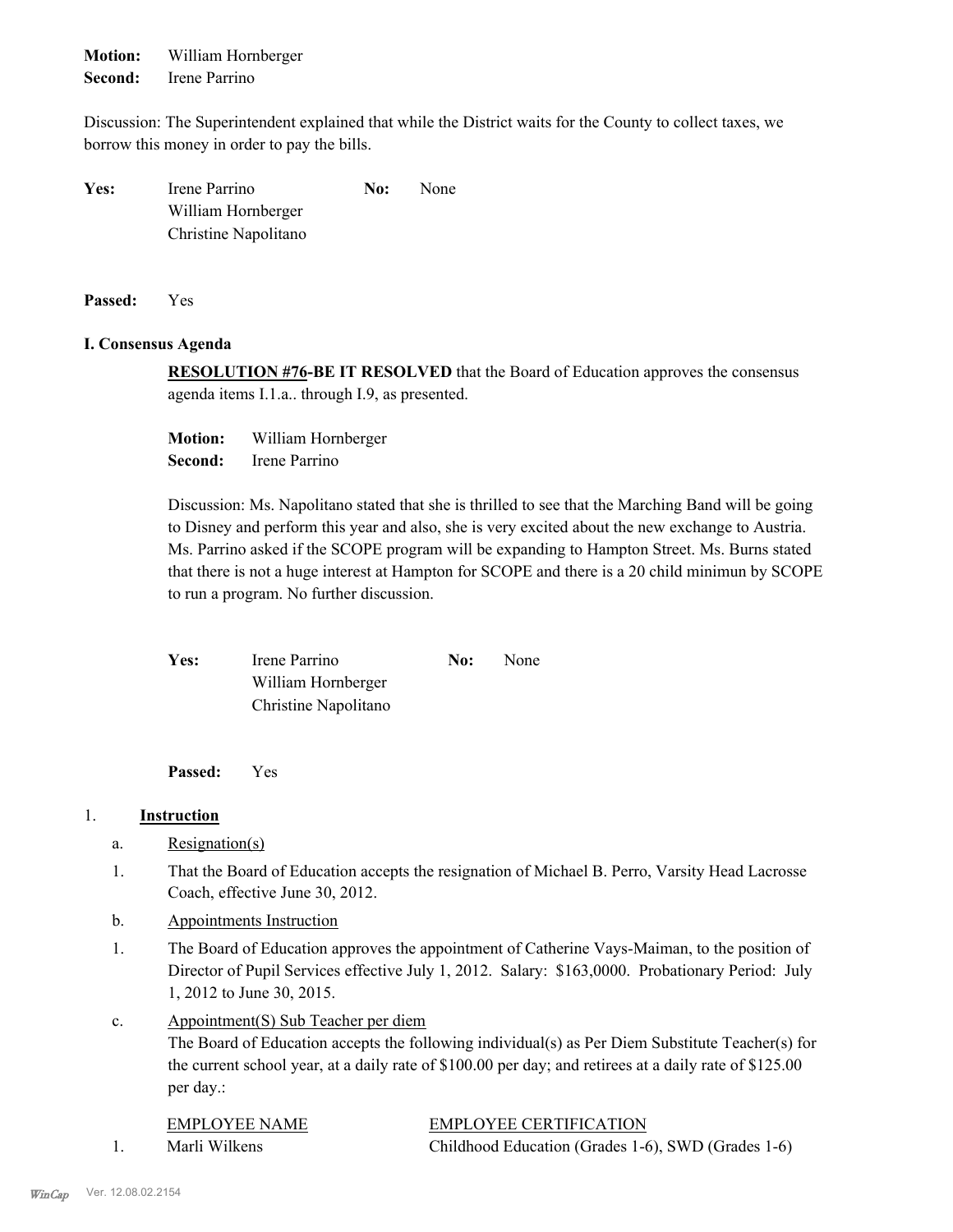**Motion:** William Hornberger **Second:** Irene Parrino

Discussion: The Superintendent explained that while the District waits for the County to collect taxes, we borrow this money in order to pay the bills.

| Yes: | Irene Parrino        | No: | <b>None</b> |
|------|----------------------|-----|-------------|
|      | William Hornberger   |     |             |
|      | Christine Napolitano |     |             |

**Passed:** Yes

#### **I. Consensus Agenda**

**RESOLUTION #76-BE IT RESOLVED** that the Board of Education approves the consensus agenda items I.1.a.. through I.9, as presented.

**Motion:** William Hornberger **Second:** Irene Parrino

Discussion: Ms. Napolitano stated that she is thrilled to see that the Marching Band will be going to Disney and perform this year and also, she is very excited about the new exchange to Austria. Ms. Parrino asked if the SCOPE program will be expanding to Hampton Street. Ms. Burns stated that there is not a huge interest at Hampton for SCOPE and there is a 20 child minimun by SCOPE to run a program. No further discussion.

Yes: Irene Parrino **No:** None William Hornberger Christine Napolitano

**Passed:** Yes

# 1. **Instruction**

- a. Resignation(s)
- That the Board of Education accepts the resignation of Michael B. Perro, Varsity Head Lacrosse Coach, effective June 30, 2012. 1.
- b. Appointments Instruction
- The Board of Education approves the appointment of Catherine Vays-Maiman, to the position of Director of Pupil Services effective July 1, 2012. Salary: \$163,0000. Probationary Period: July 1, 2012 to June 30, 2015. 1.
- Appointment(S) Sub Teacher per diem c.

The Board of Education accepts the following individual(s) as Per Diem Substitute Teacher(s) for the current school year, at a daily rate of \$100.00 per day; and retirees at a daily rate of \$125.00 per day.:

| EMPLOYEE NAME | <b>EMPLOYEE CERTIFICATION</b>                      |
|---------------|----------------------------------------------------|
| Marli Wilkens | Childhood Education (Grades 1-6), SWD (Grades 1-6) |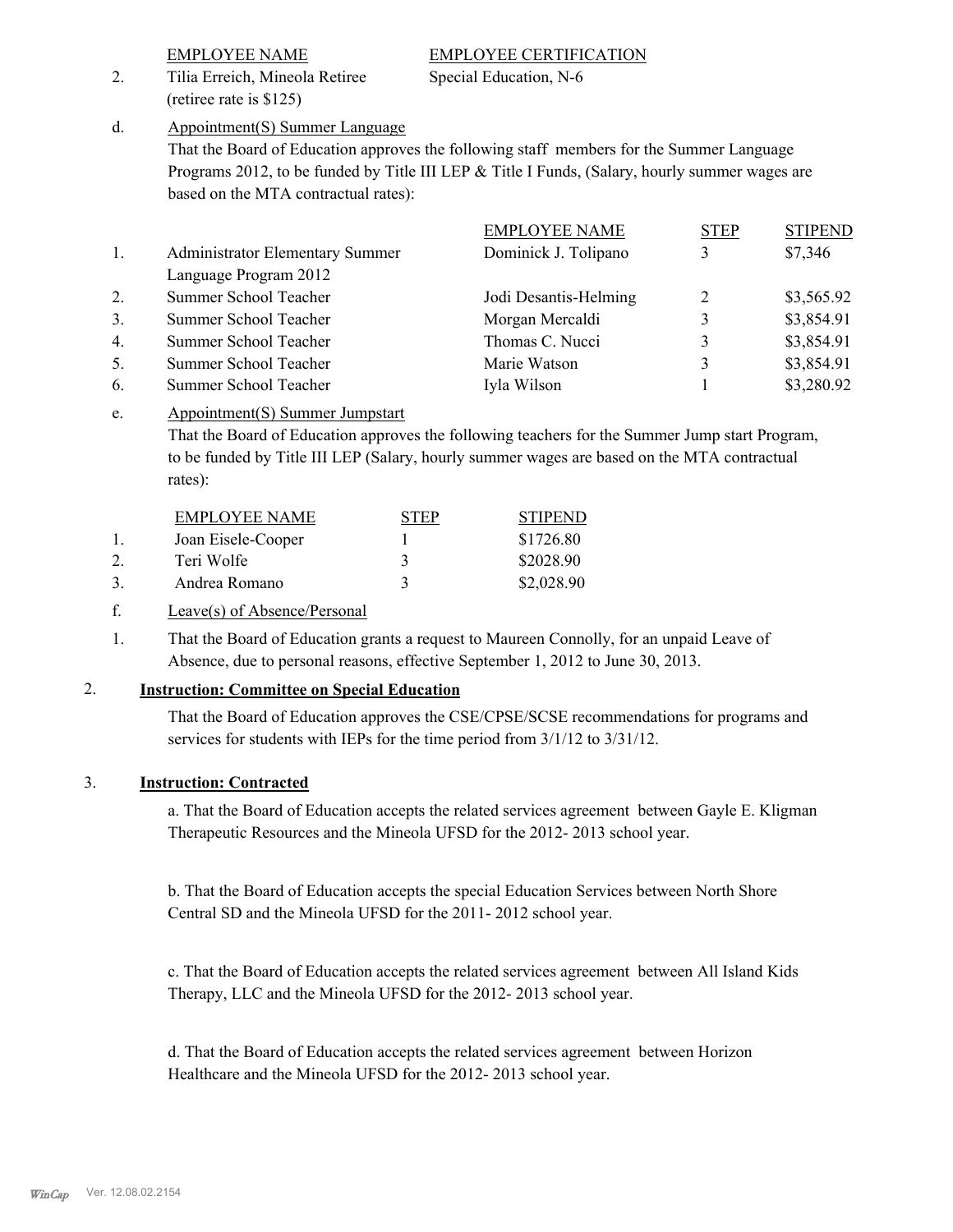# EMPLOYEE NAME EMPLOYEE CERTIFICATION

2. Tilia Erreich, Mineola Retiree Special Education, N-6 (retiree rate is \$125)

Appointment(S) Summer Language d.

> That the Board of Education approves the following staff members for the Summer Language Programs 2012, to be funded by Title III LEP & Title I Funds, (Salary, hourly summer wages are based on the MTA contractual rates):

|                  |                                        | <b>EMPLOYEE NAME</b>  | <b>STEP</b> | <b>STIPEND</b> |
|------------------|----------------------------------------|-----------------------|-------------|----------------|
| 1.               | <b>Administrator Elementary Summer</b> | Dominick J. Tolipano  | 3           | \$7,346        |
|                  | Language Program 2012                  |                       |             |                |
| 2.               | Summer School Teacher                  | Jodi Desantis-Helming | 2           | \$3,565.92     |
| 3.               | Summer School Teacher                  | Morgan Mercaldi       | 3           | \$3,854.91     |
| $\overline{4}$ . | Summer School Teacher                  | Thomas C. Nucci       | 3           | \$3,854.91     |
| 5.               | Summer School Teacher                  | Marie Watson          | 3           | \$3,854.91     |
| 6.               | Summer School Teacher                  | Iyla Wilson           |             | \$3,280.92     |
|                  |                                        |                       |             |                |

#### Appointment(S) Summer Jumpstart e.

That the Board of Education approves the following teachers for the Summer Jump start Program, to be funded by Title III LEP (Salary, hourly summer wages are based on the MTA contractual rates):

| EMPLOYEE NAME      | <b>STEP</b> | <b>STIPEND</b> |
|--------------------|-------------|----------------|
| Joan Eisele-Cooper |             | \$1726.80      |
| Teri Wolfe         |             | \$2028.90      |
| Andrea Romano      |             | \$2,028.90     |

# f. Leave(s) of Absence/Personal

That the Board of Education grants a request to Maureen Connolly, for an unpaid Leave of Absence, due to personal reasons, effective September 1, 2012 to June 30, 2013. 1.

# 2. **Instruction: Committee on Special Education**

That the Board of Education approves the CSE/CPSE/SCSE recommendations for programs and services for students with IEPs for the time period from 3/1/12 to 3/31/12.

# 3. **Instruction: Contracted**

a. That the Board of Education accepts the related services agreement between Gayle E. Kligman Therapeutic Resources and the Mineola UFSD for the 2012- 2013 school year.

b. That the Board of Education accepts the special Education Services between North Shore Central SD and the Mineola UFSD for the 2011- 2012 school year.

c. That the Board of Education accepts the related services agreement between All Island Kids Therapy, LLC and the Mineola UFSD for the 2012- 2013 school year.

d. That the Board of Education accepts the related services agreement between Horizon Healthcare and the Mineola UFSD for the 2012- 2013 school year.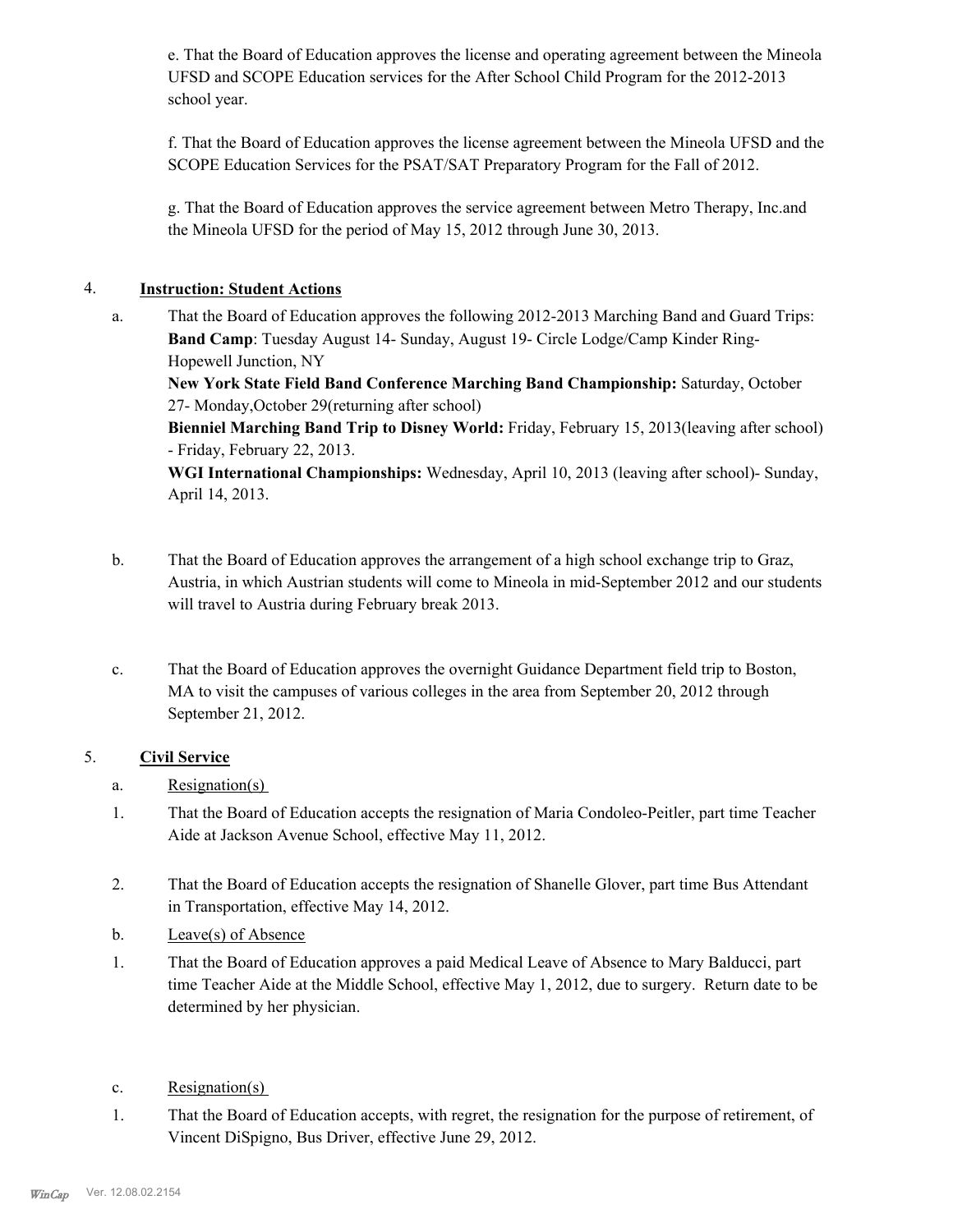e. That the Board of Education approves the license and operating agreement between the Mineola UFSD and SCOPE Education services for the After School Child Program for the 2012-2013 school year.

f. That the Board of Education approves the license agreement between the Mineola UFSD and the SCOPE Education Services for the PSAT/SAT Preparatory Program for the Fall of 2012.

g. That the Board of Education approves the service agreement between Metro Therapy, Inc.and the Mineola UFSD for the period of May 15, 2012 through June 30, 2013.

# 4. **Instruction: Student Actions**

That the Board of Education approves the following 2012-2013 Marching Band and Guard Trips: **Band Camp**: Tuesday August 14- Sunday, August 19- Circle Lodge/Camp Kinder Ring-Hopewell Junction, NY a.

**New York State Field Band Conference Marching Band Championship:** Saturday, October 27- Monday,October 29(returning after school)

**Bienniel Marching Band Trip to Disney World:** Friday, February 15, 2013(leaving after school) - Friday, February 22, 2013.

**WGI International Championships:** Wednesday, April 10, 2013 (leaving after school)- Sunday, April 14, 2013.

- That the Board of Education approves the arrangement of a high school exchange trip to Graz, Austria, in which Austrian students will come to Mineola in mid-September 2012 and our students will travel to Austria during February break 2013. b.
- That the Board of Education approves the overnight Guidance Department field trip to Boston, MA to visit the campuses of various colleges in the area from September 20, 2012 through September 21, 2012. c.

# 5. **Civil Service**

- a. Resignation(s)
- That the Board of Education accepts the resignation of Maria Condoleo-Peitler, part time Teacher Aide at Jackson Avenue School, effective May 11, 2012. 1.
- That the Board of Education accepts the resignation of Shanelle Glover, part time Bus Attendant in Transportation, effective May 14, 2012. 2.
- b. Leave(s) of Absence
- That the Board of Education approves a paid Medical Leave of Absence to Mary Balducci, part time Teacher Aide at the Middle School, effective May 1, 2012, due to surgery. Return date to be determined by her physician. 1.
- c. Resignation(s)
- That the Board of Education accepts, with regret, the resignation for the purpose of retirement, of Vincent DiSpigno, Bus Driver, effective June 29, 2012. 1.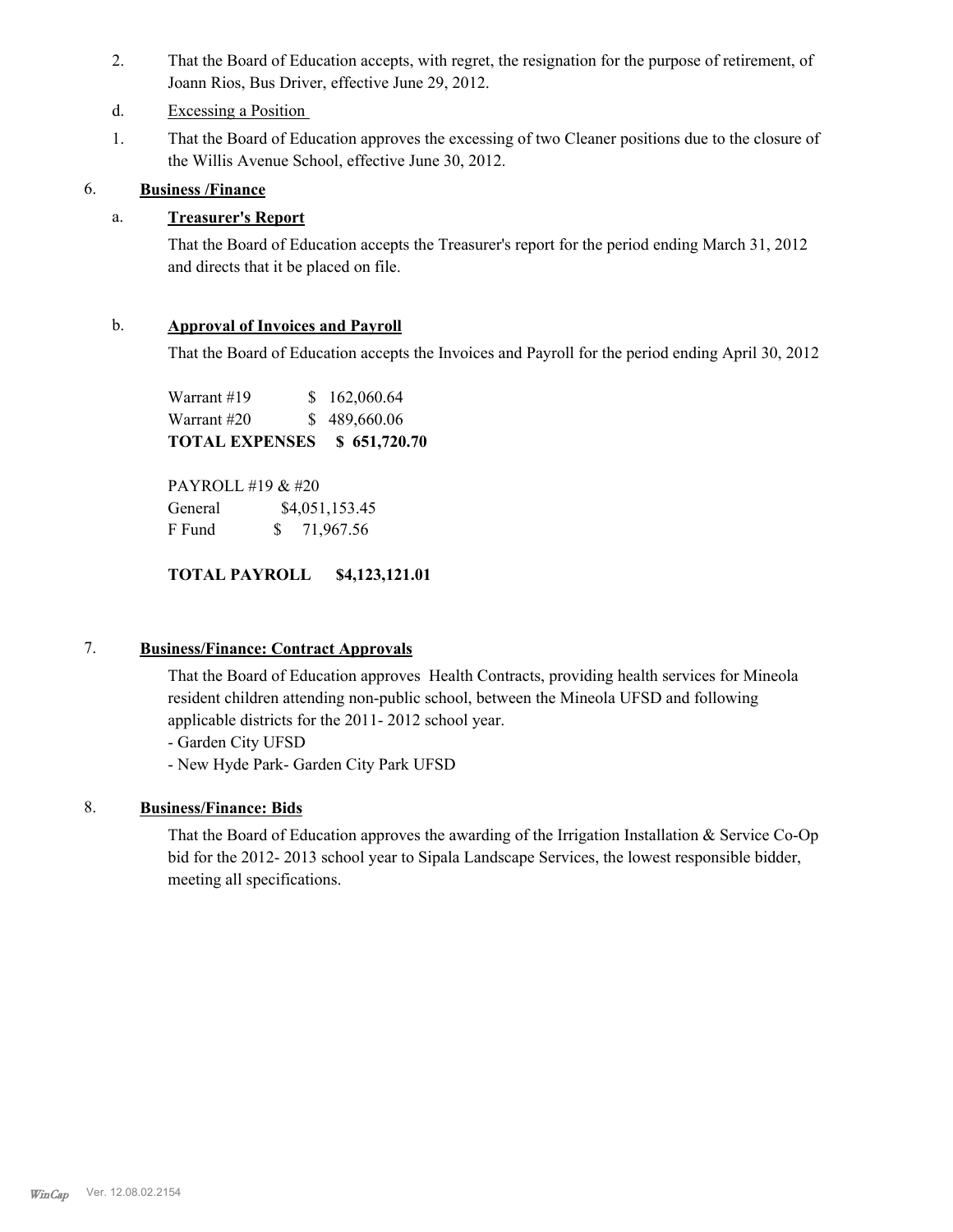- That the Board of Education accepts, with regret, the resignation for the purpose of retirement, of Joann Rios, Bus Driver, effective June 29, 2012. 2.
- d. Excessing a Position
- That the Board of Education approves the excessing of two Cleaner positions due to the closure of the Willis Avenue School, effective June 30, 2012. 1.

# 6. **Business /Finance**

# a. **Treasurer's Report**

That the Board of Education accepts the Treasurer's report for the period ending March 31, 2012 and directs that it be placed on file.

# b. **Approval of Invoices and Payroll**

That the Board of Education accepts the Invoices and Payroll for the period ending April 30, 2012

Warrant #19 \$ 162,060.64 Warrant #20 \$ 489,660.06 **TOTAL EXPENSES \$ 651,720.70**

PAYROLL #19 & #20 General  $$4,051,153.45$ F Fund \$ 71,967.56

# **TOTAL PAYROLL \$4,123,121.01**

# 7. **Business/Finance: Contract Approvals**

That the Board of Education approves Health Contracts, providing health services for Mineola resident children attending non-public school, between the Mineola UFSD and following applicable districts for the 2011- 2012 school year.

- Garden City UFSD

- New Hyde Park- Garden City Park UFSD

# 8. **Business/Finance: Bids**

That the Board of Education approves the awarding of the Irrigation Installation & Service Co-Op bid for the 2012- 2013 school year to Sipala Landscape Services, the lowest responsible bidder, meeting all specifications.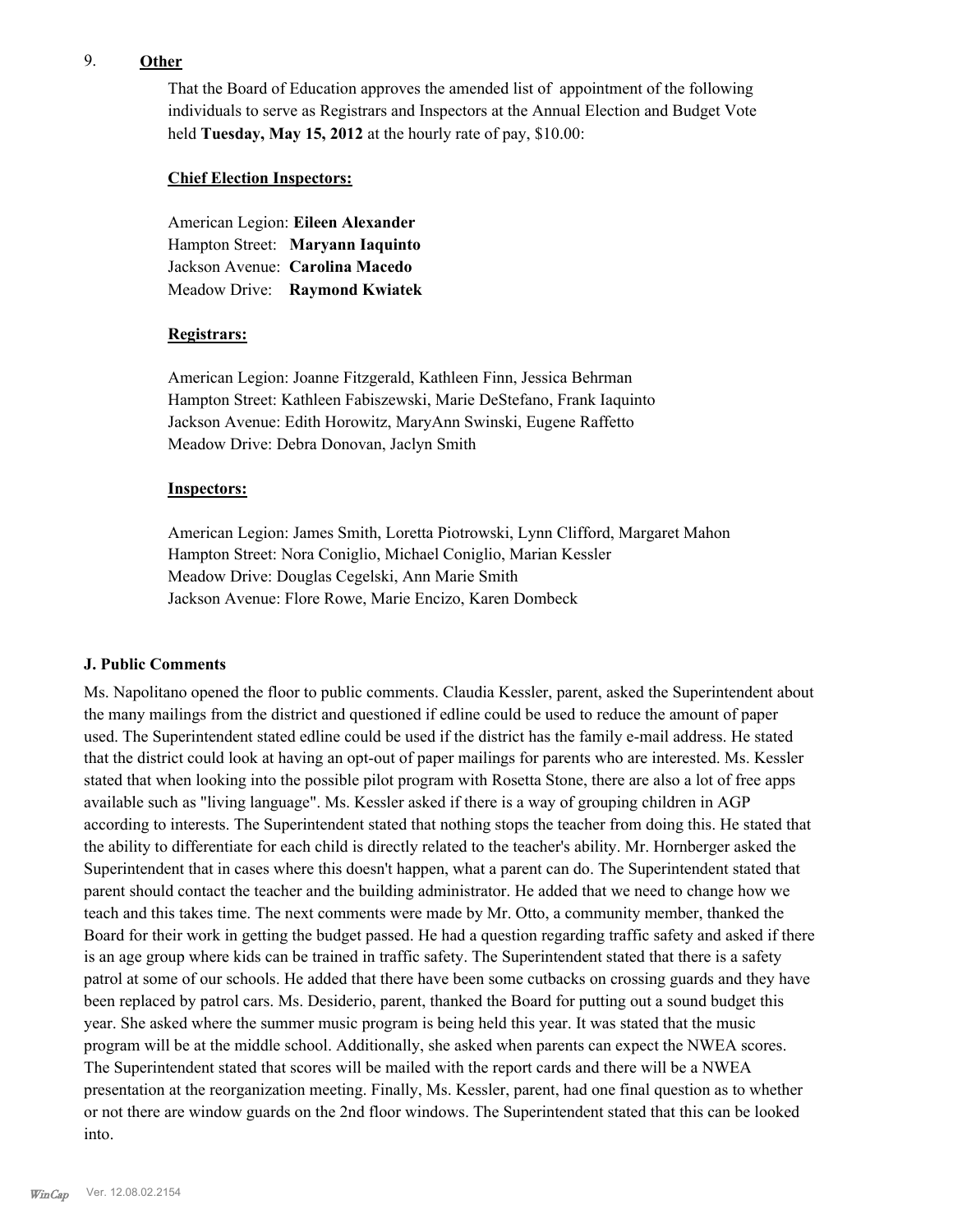# 9. **Other**

That the Board of Education approves the amended list of appointment of the following individuals to serve as Registrars and Inspectors at the Annual Election and Budget Vote held **Tuesday, May 15, 2012** at the hourly rate of pay, \$10.00:

#### **Chief Election Inspectors:**

American Legion: **Eileen Alexander**  Hampton Street: **Maryann Iaquinto** Jackson Avenue: **Carolina Macedo** Meadow Drive: **Raymond Kwiatek**

# **Registrars:**

American Legion: Joanne Fitzgerald, Kathleen Finn, Jessica Behrman Hampton Street: Kathleen Fabiszewski, Marie DeStefano, Frank Iaquinto Jackson Avenue: Edith Horowitz, MaryAnn Swinski, Eugene Raffetto Meadow Drive: Debra Donovan, Jaclyn Smith

#### **Inspectors:**

American Legion: James Smith, Loretta Piotrowski, Lynn Clifford, Margaret Mahon Hampton Street: Nora Coniglio, Michael Coniglio, Marian Kessler Meadow Drive: Douglas Cegelski, Ann Marie Smith Jackson Avenue: Flore Rowe, Marie Encizo, Karen Dombeck

# **J. Public Comments**

Ms. Napolitano opened the floor to public comments. Claudia Kessler, parent, asked the Superintendent about the many mailings from the district and questioned if edline could be used to reduce the amount of paper used. The Superintendent stated edline could be used if the district has the family e-mail address. He stated that the district could look at having an opt-out of paper mailings for parents who are interested. Ms. Kessler stated that when looking into the possible pilot program with Rosetta Stone, there are also a lot of free apps available such as "living language". Ms. Kessler asked if there is a way of grouping children in AGP according to interests. The Superintendent stated that nothing stops the teacher from doing this. He stated that the ability to differentiate for each child is directly related to the teacher's ability. Mr. Hornberger asked the Superintendent that in cases where this doesn't happen, what a parent can do. The Superintendent stated that parent should contact the teacher and the building administrator. He added that we need to change how we teach and this takes time. The next comments were made by Mr. Otto, a community member, thanked the Board for their work in getting the budget passed. He had a question regarding traffic safety and asked if there is an age group where kids can be trained in traffic safety. The Superintendent stated that there is a safety patrol at some of our schools. He added that there have been some cutbacks on crossing guards and they have been replaced by patrol cars. Ms. Desiderio, parent, thanked the Board for putting out a sound budget this year. She asked where the summer music program is being held this year. It was stated that the music program will be at the middle school. Additionally, she asked when parents can expect the NWEA scores. The Superintendent stated that scores will be mailed with the report cards and there will be a NWEA presentation at the reorganization meeting. Finally, Ms. Kessler, parent, had one final question as to whether or not there are window guards on the 2nd floor windows. The Superintendent stated that this can be looked into.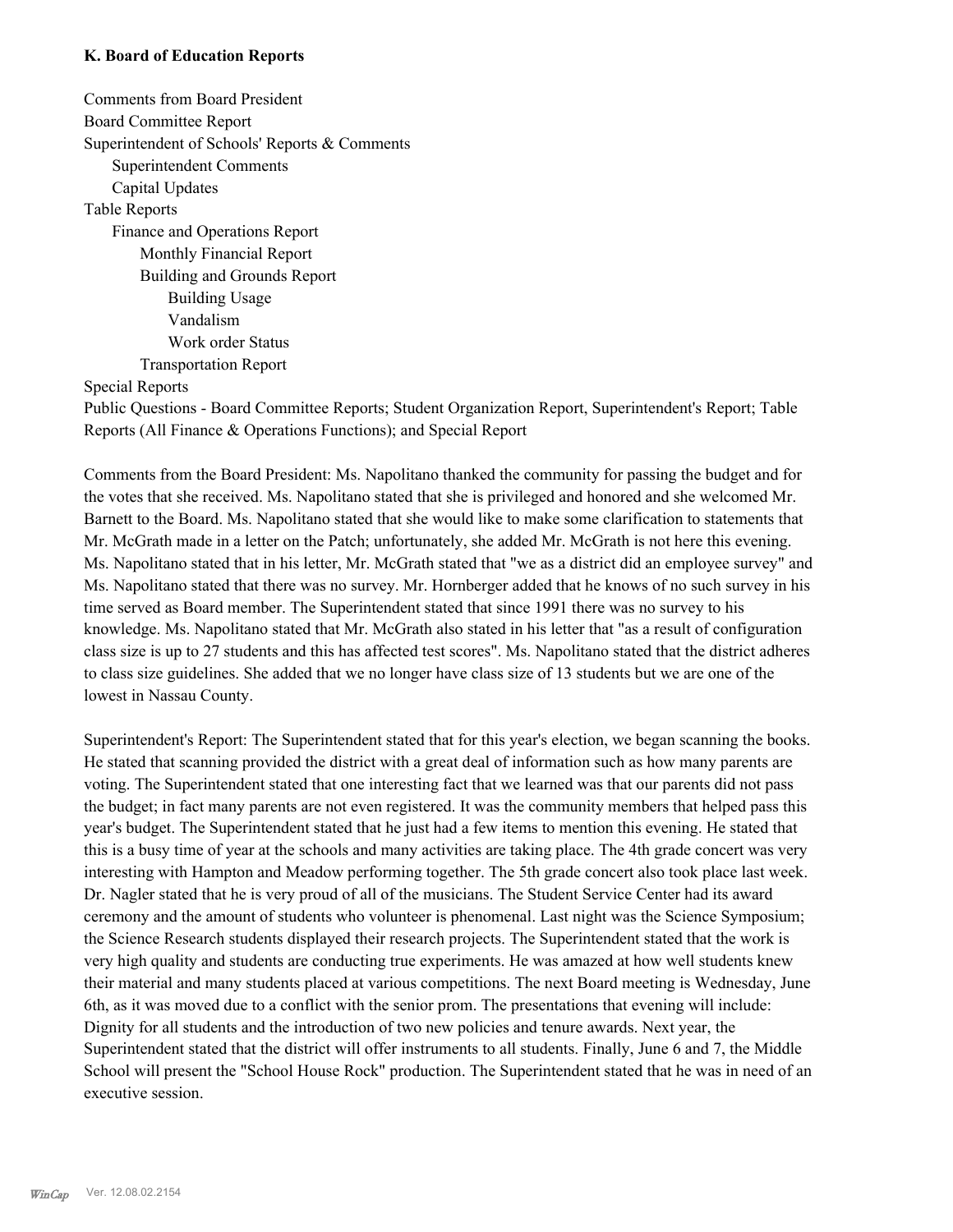#### **K. Board of Education Reports**

Comments from Board President Board Committee Report Superintendent of Schools' Reports & Comments Superintendent Comments Capital Updates Table Reports Finance and Operations Report Monthly Financial Report Building and Grounds Report Building Usage Vandalism Work order Status Transportation Report

Special Reports

Public Questions - Board Committee Reports; Student Organization Report, Superintendent's Report; Table Reports (All Finance & Operations Functions); and Special Report

Comments from the Board President: Ms. Napolitano thanked the community for passing the budget and for the votes that she received. Ms. Napolitano stated that she is privileged and honored and she welcomed Mr. Barnett to the Board. Ms. Napolitano stated that she would like to make some clarification to statements that Mr. McGrath made in a letter on the Patch; unfortunately, she added Mr. McGrath is not here this evening. Ms. Napolitano stated that in his letter, Mr. McGrath stated that "we as a district did an employee survey" and Ms. Napolitano stated that there was no survey. Mr. Hornberger added that he knows of no such survey in his time served as Board member. The Superintendent stated that since 1991 there was no survey to his knowledge. Ms. Napolitano stated that Mr. McGrath also stated in his letter that "as a result of configuration class size is up to 27 students and this has affected test scores". Ms. Napolitano stated that the district adheres to class size guidelines. She added that we no longer have class size of 13 students but we are one of the lowest in Nassau County.

Superintendent's Report: The Superintendent stated that for this year's election, we began scanning the books. He stated that scanning provided the district with a great deal of information such as how many parents are voting. The Superintendent stated that one interesting fact that we learned was that our parents did not pass the budget; in fact many parents are not even registered. It was the community members that helped pass this year's budget. The Superintendent stated that he just had a few items to mention this evening. He stated that this is a busy time of year at the schools and many activities are taking place. The 4th grade concert was very interesting with Hampton and Meadow performing together. The 5th grade concert also took place last week. Dr. Nagler stated that he is very proud of all of the musicians. The Student Service Center had its award ceremony and the amount of students who volunteer is phenomenal. Last night was the Science Symposium; the Science Research students displayed their research projects. The Superintendent stated that the work is very high quality and students are conducting true experiments. He was amazed at how well students knew their material and many students placed at various competitions. The next Board meeting is Wednesday, June 6th, as it was moved due to a conflict with the senior prom. The presentations that evening will include: Dignity for all students and the introduction of two new policies and tenure awards. Next year, the Superintendent stated that the district will offer instruments to all students. Finally, June 6 and 7, the Middle School will present the "School House Rock" production. The Superintendent stated that he was in need of an executive session.